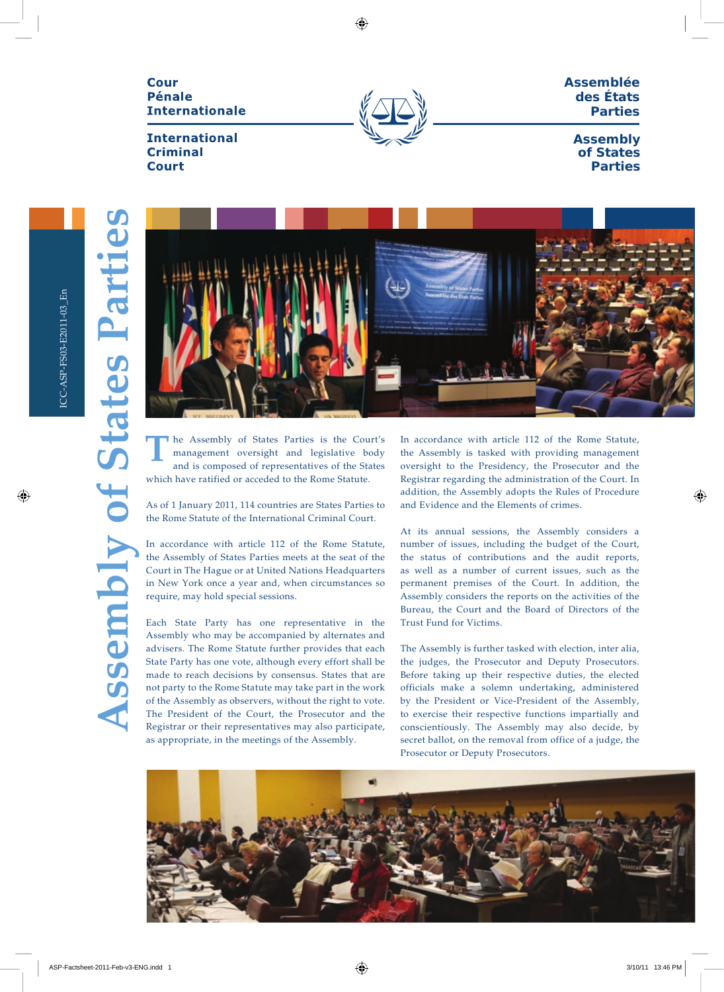Cour **Pénale Internationale** 

**International Criminal Court** 



**Assemblée des États Parties**

> **Assembly of States Parties**

**Assembly of States Parties** 



he Assembly of States Parties is the Court's management oversight and legislative body and is composed of representatives of the States which have ratified or acceded to the Rome Statute. **T**

As of 1 January 2011, 114 countries are States Parties to the Rome Statute of the International Criminal Court.

In accordance with article 112 of the Rome Statute, the Assembly of States Parties meets at the seat of the Court in The Hague or at United Nations Headquarters in New York once a year and, when circumstances so require, may hold special sessions.

Each State Party has one representative in the Assembly who may be accompanied by alternates and advisers. The Rome Statute further provides that each State Party has one vote, although every effort shall be made to reach decisions by consensus. States that are not party to the Rome Statute may take part in the work of the Assembly as observers, without the right to vote. The President of the Court, the Prosecutor and the Registrar or their representatives may also participate, as appropriate, in the meetings of the Assembly.

In accordance with article 112 of the Rome Statute, the Assembly is tasked with providing management oversight to the Presidency, the Prosecutor and the Registrar regarding the administration of the Court. In addition, the Assembly adopts the Rules of Procedure and Evidence and the Elements of crimes.

At its annual sessions, the Assembly considers a number of issues, including the budget of the Court, the status of contributions and the audit reports, as well as a number of current issues, such as the permanent premises of the Court. In addition, the Assembly considers the reports on the activities of the Bureau, the Court and the Board of Directors of the Trust Fund for Victims.

The Assembly is further tasked with election, inter alia, the judges, the Prosecutor and Deputy Prosecutors. Before taking up their respective duties, the elected officials make a solemn undertaking, administered by the President or Vice-President of the Assembly, to exercise their respective functions impartially and conscientiously. The Assembly may also decide, by secret ballot, on the removal from office of a judge, the Prosecutor or Deputy Prosecutors.

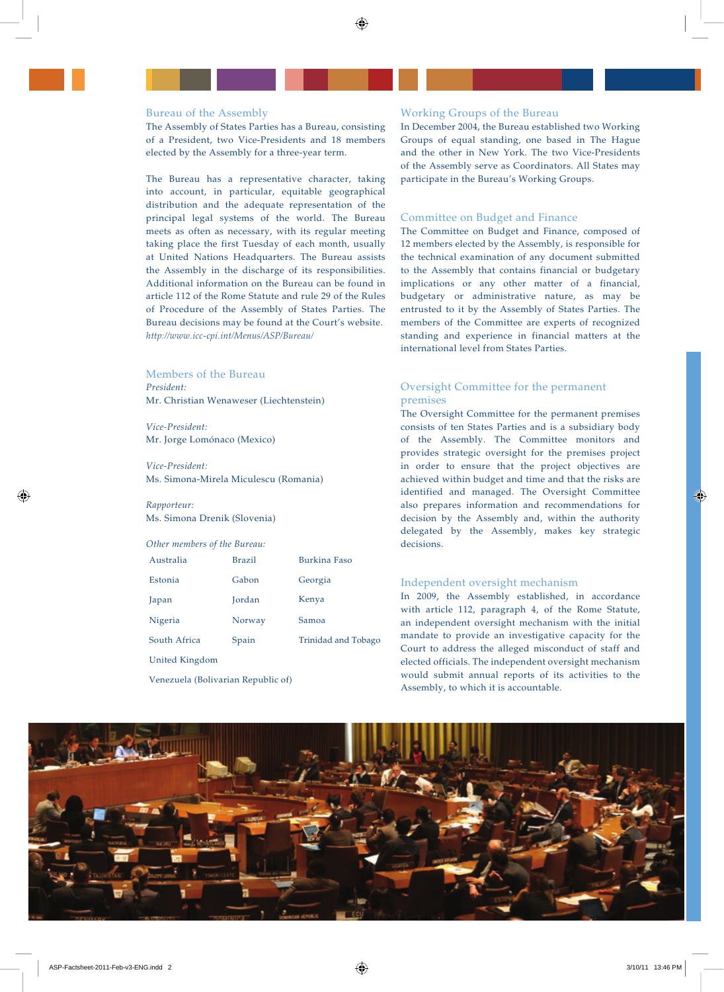## Bureau of the Assembly

The Assembly of States Parties has a Bureau, consisting of a President, two Vice-Presidents and 18 members elected by the Assembly for a three-year term.

The Bureau has a representative character, taking into account, in particular, equitable geographical distribution and the adequate representation of the principal legal systems of the world. The Bureau meets as often as necessary, with its regular meeting taking place the first Tuesday of each month, usually at United Nations Headquarters. The Bureau assists the Assembly in the discharge of its responsibilities. Additional information on the Bureau can be found in article 112 of the Rome Statute and rule 29 of the Rules of Procedure of the Assembly of States Parties. The Bureau decisions may be found at the Court's website. *http://www.icc-cpi.int/Menus/ASP/Bureau/* 

# Members of the Bureau

*President:*  Mr. Christian Wenaweser (Liechtenstein)

*Vice-President:* Mr. Jorge Lomónaco (Mexico)

*Vice-President:* Ms. Simona-Mirela Miculescu (Romania)

## *Rapporteur:*  Ms. Simona Drenik (Slovenia)

#### *Other members of the Bureau:*

| Australia      | <b>Brazil</b> | Burkina Faso        |
|----------------|---------------|---------------------|
| Estonia        | Gabon         | Georgia             |
| Japan          | Jordan        | Kenya               |
| Nigeria        | Norway        | Samoa               |
| South Africa   | Spain         | Trinidad and Tobago |
| United Kingdom |               |                     |

Venezuela (Bolivarian Republic of)

#### Working Groups of the Bureau

In December 2004, the Bureau established two Working Groups of equal standing, one based in The Hague and the other in New York. The two Vice-Presidents of the Assembly serve as Coordinators. All States may participate in the Bureau's Working Groups.

# Committee on Budget and Finance

The Committee on Budget and Finance, composed of 12 members elected by the Assembly, is responsible for the technical examination of any document submitted to the Assembly that contains financial or budgetary implications or any other matter of a financial, budgetary or administrative nature, as may be entrusted to it by the Assembly of States Parties. The members of the Committee are experts of recognized standing and experience in financial matters at the international level from States Parties.

# Oversight Committee for the permanent premises

The Oversight Committee for the permanent premises consists of ten States Parties and is a subsidiary body of the Assembly. The Committee monitors and provides strategic oversight for the premises project in order to ensure that the project objectives are achieved within budget and time and that the risks are identified and managed. The Oversight Committee also prepares information and recommendations for decision by the Assembly and, within the authority delegated by the Assembly, makes key strategic decisions.

#### Independent oversight mechanism

In 2009, the Assembly established, in accordance with article 112, paragraph 4, of the Rome Statute, an independent oversight mechanism with the initial mandate to provide an investigative capacity for the Court to address the alleged misconduct of staff and elected officials. The independent oversight mechanism would submit annual reports of its activities to the Assembly, to which it is accountable.

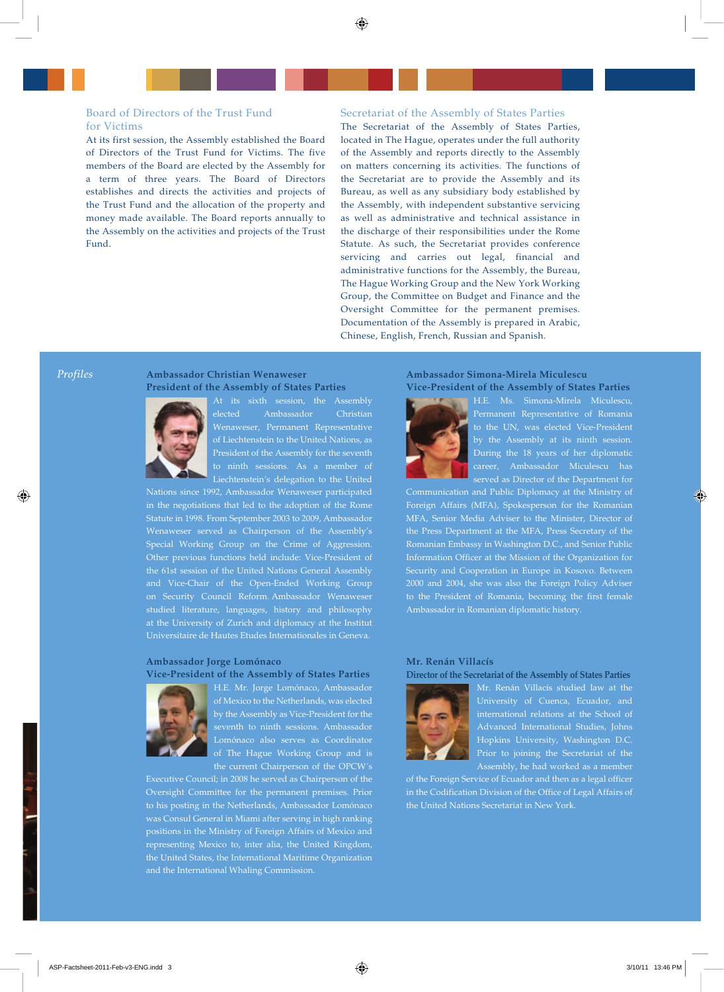# Board of Directors of the Trust Fund for Victims

At its first session, the Assembly established the Board of Directors of the Trust Fund for Victims. The five members of the Board are elected by the Assembly for a term of three years. The Board of Directors establishes and directs the activities and projects of the Trust Fund and the allocation of the property and money made available. The Board reports annually to the Assembly on the activities and projects of the Trust Fund.

#### Secretariat of the Assembly of States Parties

The Secretariat of the Assembly of States Parties, located in The Hague, operates under the full authority of the Assembly and reports directly to the Assembly on matters concerning its activities. The functions of the Secretariat are to provide the Assembly and its Bureau, as well as any subsidiary body established by the Assembly, with independent substantive servicing as well as administrative and technical assistance in the discharge of their responsibilities under the Rome Statute. As such, the Secretariat provides conference servicing and carries out legal, financial and administrative functions for the Assembly, the Bureau, The Hague Working Group and the New York Working Group, the Committee on Budget and Finance and the Oversight Committee for the permanent premises. Documentation of the Assembly is prepared in Arabic, Chinese, English, French, Russian and Spanish.

# **Ambassador Christian Wenaweser President of the Assembly of States Parties**



*Profiles*

At its sixth session, the Assembly elected Ambassador Christian Wenaweser, Permanent Representative of Liechtenstein to the United Nations, as President of the Assembly for the seventh Liechtenstein's delegation to the United

Nations since 1992, Ambassador Wenaweser participated in the negotiations that led to the adoption of the Rome Statute in 1998. From September 2003 to 2009, Ambassador Wenaweser served as Chairperson of the Assembly's Special Working Group on the Crime of Aggression. Other previous functions held include: Vice-President of the 61st session of the United Nations General Assembly and Vice-Chair of the Open-Ended Working Group studied literature, languages, history and philosophy at the University of Zurich and diplomacy at the Institut Universitaire de Hautes Etudes Internationales in Geneva.

# **Ambassador Jorge Lomónaco Vice-President of the Assembly of States Parties**



H.E. Mr. Jorge Lomónaco, Ambassador of Mexico to the Netherlands, was elected by the Assembly as Vice-President for the of The Hague Working Group and is the current Chairperson of the OPCW´s

Executive Council; in 2008 he served as Chairperson of the Oversight Committee for the permanent premises. Prior to his posting in the Netherlands, Ambassador Lomónaco was Consul General in Miami after serving in high ranking positions in the Ministry of Foreign Affairs of Mexico and representing Mexico to, inter alia, the United Kingdom, the United States, the International Maritime Organization and the International Whaling Commission.

## **Ambassador Simona-Mirela Miculescu Vice-President of the Assembly of States Parties**



H.E. Ms. Simona-Mirela Miculescu, Permanent Representative of Romania by the Assembly at its ninth session. During the 18 years of her diplomatic served as Director of the Department for

Communication and Public Diplomacy at the Ministry of Foreign Affairs (MFA), Spokesperson for the Romanian MFA, Senior Media Adviser to the Minister, Director of the Press Department at the MFA, Press Secretary of the Romanian Embassy in Washington D.C., and Senior Public Information Officer at the Mission of the Organization for Security and Cooperation in Europe in Kosovo. Between 2000 and 2004, she was also the Foreign Policy Adviser to the President of Romania, becoming the first female Ambassador in Romanian diplomatic history.

## **Mr. Renán Villacís**

#### **Director of the Secretariat of the Assembly of States Parties**



Mr. Renán Villacís studied law at the Advanced International Studies, Johns Hopkins University, Washington D.C. Prior to joining the Secretariat of the Assembly, he had worked as a member

of the Foreign Service of Ecuador and then as a legal officer in the Codification Division of the Office of Legal Affairs of